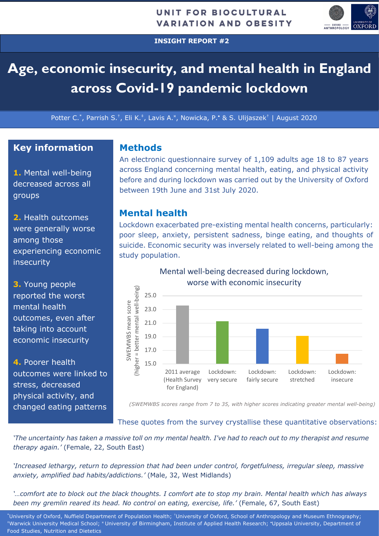**INSIGHT REPORT #2**



# **Age, economic insecurity, and mental health in England across Covid-19 pandemic lockdown**

Potter C.\*, Parrish S.<sup>†</sup>, Eli K.<sup>‡</sup>, Lavis A.<sup>\*</sup>, Nowicka, P.<sup>\*</sup> & S. Ulijaszek<sup>†</sup> | August 2020

## **Key information**

**1.** Mental well-being decreased across all groups

**2.** Health outcomes were generally worse among those experiencing economic insecurity

**3.** Young people reported the worst mental health outcomes, even after taking into account economic insecurity

**4.** Poorer health outcomes were linked to stress, decreased physical activity, and changed eating patterns

#### **Methods**

An electronic questionnaire survey of 1,109 adults age 18 to 87 years across England concerning mental health, eating, and physical activity before and during lockdown was carried out by the University of Oxford between 19th June and 31st July 2020.

#### **Mental health**

Lockdown exacerbated pre-existing mental health concerns, particularly: poor sleep, anxiety, persistent sadness, binge eating, and thoughts of suicide. Economic security was inversely related to well-being among the study population.



Mental well-being decreased during lockdown,

*(SWEMWBS scores range from 7 to 35, with higher scores indicating greater mental well-being)*

These quotes from the survey crystallise these quantitative observations:

*'The uncertainty has taken a massive toll on my mental health. I've had to reach out to my therapist and resume therapy again.'* (Female, 22, South East)

*'Increased lethargy, return to depression that had been under control, forgetfulness, irregular sleep, massive anxiety, amplified bad habits/addictions.'* (Male, 32, West Midlands)

*'…comfort ate to block out the black thoughts. I comfort ate to stop my brain. Mental health which has always been my gremlin reared its head. No control on eating, exercise, life.'* (Female, 67, South East)

\*University of Oxford, Nuffield Department of Population Health; †University of Oxford, School of Anthropology and Museum Ethnography; ‡Warwick University Medical School; ¤ University of Birmingham, Institute of Applied Health Research; • Uppsala University, Department of Food Studies, Nutrition and Dietetics